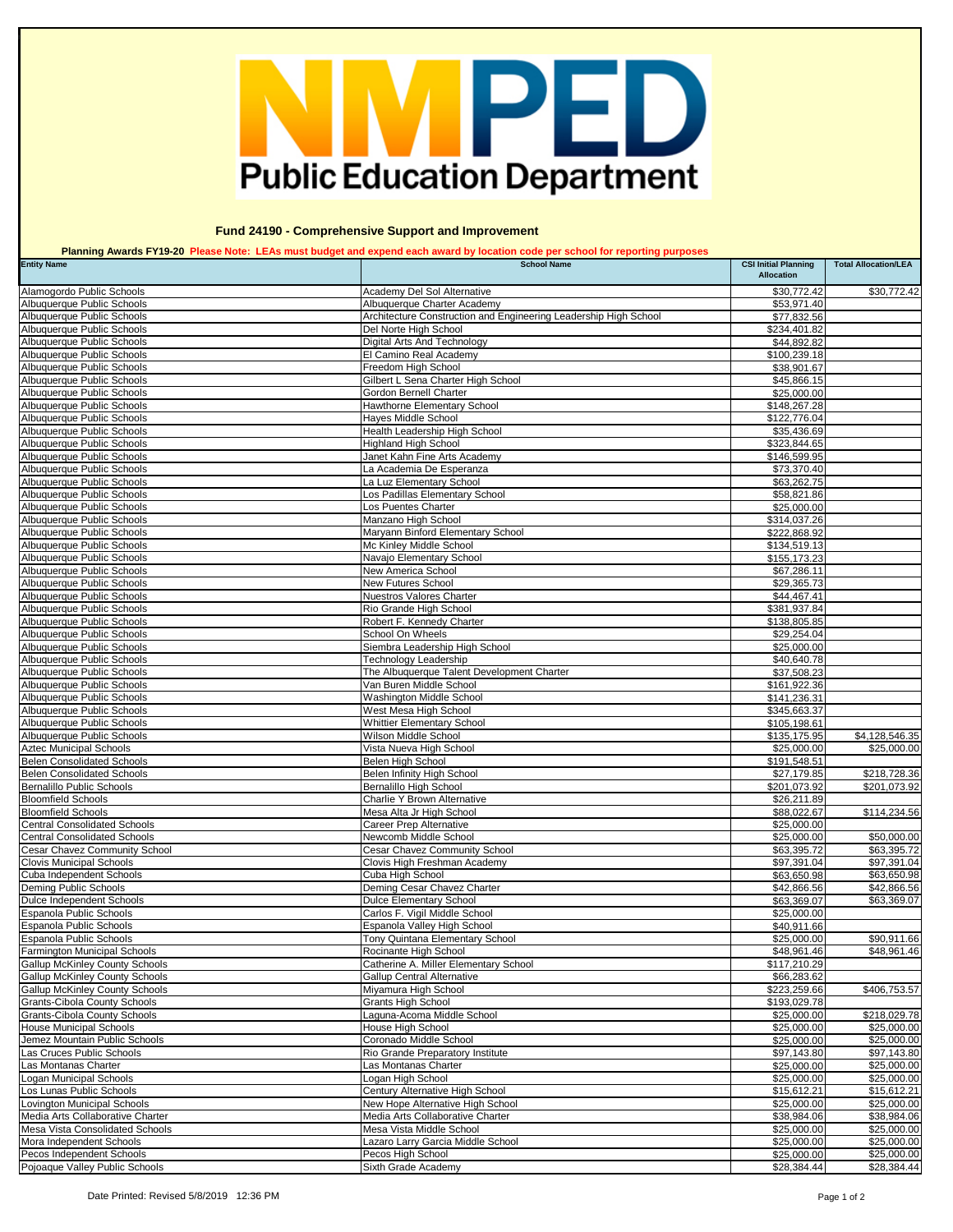| <b>Entity Name</b>                                                           | <b>School Name</b>                                                                        | <b>CSI Initial Planning</b><br><b>Allocation</b> | <b>Total Allocation/LEA</b> |
|------------------------------------------------------------------------------|-------------------------------------------------------------------------------------------|--------------------------------------------------|-----------------------------|
| Alamogordo Public Schools                                                    | Academy Del Sol Alternative                                                               | \$30,772.42                                      | \$30,772.42                 |
| Albuquerque Public Schools                                                   | Albuquerque Charter Academy                                                               | \$53,971.40                                      |                             |
| Albuquerque Public Schools<br>Albuquerque Public Schools                     | Architecture Construction and Engineering Leadership High School<br>Del Norte High School | \$77,832.56<br>\$234,401.82                      |                             |
| Albuquerque Public Schools                                                   | Digital Arts And Technology                                                               | \$44,892.82                                      |                             |
| Albuquerque Public Schools                                                   | El Camino Real Academy                                                                    | \$100,239.18                                     |                             |
| Albuquerque Public Schools                                                   | Freedom High School                                                                       | \$38,901.67                                      |                             |
| Albuquerque Public Schools                                                   | Gilbert L Sena Charter High School                                                        | \$45,866.15                                      |                             |
| Albuquerque Public Schools                                                   | Gordon Bernell Charter                                                                    | \$25,000.00                                      |                             |
| Albuquerque Public Schools<br>Albuquerque Public Schools                     | Hawthorne Elementary School<br>Hayes Middle School                                        | \$148,267.28<br>\$122,776.04                     |                             |
| Albuquerque Public Schools                                                   | Health Leadership High School                                                             | \$35,436.69                                      |                             |
| Albuquerque Public Schools                                                   | <b>Highland High School</b>                                                               | \$323,844.65                                     |                             |
| Albuquerque Public Schools                                                   | Janet Kahn Fine Arts Academy                                                              | \$146,599.95                                     |                             |
| Albuquerque Public Schools                                                   | La Academia De Esperanza                                                                  | \$73,370.40                                      |                             |
| Albuquerque Public Schools<br>Albuquerque Public Schools                     | La Luz Elementary School<br>Los Padillas Elementary School                                | \$63,262.75<br>\$58,821.86                       |                             |
| Albuquerque Public Schools                                                   | Los Puentes Charter                                                                       | \$25,000.00                                      |                             |
| Albuquerque Public Schools                                                   | Manzano High School                                                                       | \$314,037.26                                     |                             |
| Albuquerque Public Schools                                                   | Maryann Binford Elementary School                                                         | \$222,868.92                                     |                             |
| Albuquerque Public Schools                                                   | Mc Kinley Middle School                                                                   | \$134,519.13                                     |                             |
| Albuquerque Public Schools<br>Albuquerque Public Schools                     | Navajo Elementary School<br>New America School                                            | \$155, 173.23<br>\$67,286.11                     |                             |
| Albuquerque Public Schools                                                   | <b>New Futures School</b>                                                                 | \$29,365.73                                      |                             |
| Albuquerque Public Schools                                                   | <b>Nuestros Valores Charter</b>                                                           | \$44,467.41                                      |                             |
| Albuquerque Public Schools                                                   | Rio Grande High School                                                                    | \$381,937.84                                     |                             |
| Albuquerque Public Schools                                                   | Robert F. Kennedy Charter                                                                 | \$138,805.85                                     |                             |
| Albuquerque Public Schools                                                   | School On Wheels                                                                          | \$29,254.04                                      |                             |
| Albuquerque Public Schools<br>Albuquerque Public Schools                     | Siembra Leadership High School<br><b>Technology Leadership</b>                            | \$25,000.00<br>\$40,640.78                       |                             |
| Albuquerque Public Schools                                                   | The Albuquerque Talent Development Charter                                                | \$37,508.23                                      |                             |
| Albuquerque Public Schools                                                   | Van Buren Middle School                                                                   | \$161,922.36                                     |                             |
| Albuquerque Public Schools                                                   | Washington Middle School                                                                  | \$141,236.31                                     |                             |
| Albuquerque Public Schools                                                   | West Mesa High School                                                                     | \$345,663.37                                     |                             |
| Albuquerque Public Schools<br>Albuquerque Public Schools                     | <b>Whittier Elementary School</b><br>Wilson Middle School                                 | \$105,198.61<br>\$135,175.95                     | \$4,128,546.35              |
| <b>Aztec Municipal Schools</b>                                               | Vista Nueva High School                                                                   | \$25,000.00                                      | \$25,000.00                 |
| <b>Belen Consolidated Schools</b>                                            | Belen High School                                                                         | \$191,548.51                                     |                             |
| <b>Belen Consolidated Schools</b>                                            | Belen Infinity High School                                                                | \$27,179.85                                      | \$218,728.36                |
| Bernalillo Public Schools<br><b>Bloomfield Schools</b>                       | <b>Bernalillo High School</b><br><b>Charlie Y Brown Alternative</b>                       | \$201,073.92                                     | \$201,073.92                |
| <b>Bloomfield Schools</b>                                                    | Mesa Alta Jr High School                                                                  | \$26,211.89<br>\$88,022.67                       | \$114,234.56                |
| <b>Central Consolidated Schools</b>                                          | <b>Career Prep Alternative</b>                                                            | \$25,000.00                                      |                             |
| <b>Central Consolidated Schools</b>                                          | Newcomb Middle School                                                                     | \$25,000.00                                      | \$50,000.00                 |
| <b>Cesar Chavez Community School</b>                                         | <b>Cesar Chavez Community School</b>                                                      | \$63,395.72                                      | \$63,395.72                 |
| <b>Clovis Municipal Schools</b>                                              | Clovis High Freshman Academy                                                              | \$97,391.04                                      | \$97,391.04                 |
| Cuba Independent Schools<br>Deming Public Schools                            | Cuba High School<br>Deming Cesar Chavez Charter                                           | \$63,650.98<br>\$42,866.56                       | \$63,650.98<br>\$42,866.56  |
| Dulce Independent Schools                                                    | <b>Dulce Elementary School</b>                                                            | \$63,369.07                                      | \$63,369.07                 |
| <b>Espanola Public Schools</b>                                               | Carlos F. Vigil Middle School                                                             | \$25,000.00                                      |                             |
| <b>Espanola Public Schools</b>                                               | Espanola Valley High School                                                               | \$40,911.66                                      |                             |
| <b>Espanola Public Schools</b>                                               | Tony Quintana Elementary School                                                           | \$25,000.00                                      | \$90,911.66                 |
| <b>Farmington Municipal Schools</b><br><b>Gallup McKinley County Schools</b> | Rocinante High School<br>Catherine A. Miller Elementary School                            | \$48,961.46<br>\$117,210.29                      | \$48,961.46                 |
| <b>Gallup McKinley County Schools</b>                                        | <b>Gallup Central Alternative</b>                                                         | \$66,283.62                                      |                             |
| <b>Gallup McKinley County Schools</b>                                        | Miyamura High School                                                                      | \$223,259.66                                     | \$406,753.57                |
| <b>Grants-Cibola County Schools</b>                                          | <b>Grants High School</b>                                                                 | \$193,029.78                                     |                             |
| <b>Grants-Cibola County Schools</b>                                          | Laguna-Acoma Middle School                                                                | \$25,000.00                                      | \$218,029.78                |
| <b>House Municipal Schools</b><br>Jemez Mountain Public Schools              | House High School<br>Coronado Middle School                                               | \$25,000.00<br>\$25,000.00                       | \$25,000.00<br>\$25,000.00  |
| Las Cruces Public Schools                                                    | Rio Grande Preparatory Institute                                                          | \$97,143.80                                      | \$97,143.80                 |
| Las Montanas Charter                                                         | Las Montanas Charter                                                                      | \$25,000.00                                      | \$25,000.00                 |
| Logan Municipal Schools                                                      | Logan High School                                                                         | \$25,000.00                                      | \$25,000.00                 |
| Los Lunas Public Schools                                                     | Century Alternative High School                                                           | \$15,612.21                                      | \$15,612.21                 |
| Lovington Municipal Schools<br>Media Arts Collaborative Charter              | New Hope Alternative High School<br>Media Arts Collaborative Charter                      | \$25,000.00<br>\$38,984.06                       | \$25,000.00<br>\$38,984.06  |
| Mesa Vista Consolidated Schools                                              | Mesa Vista Middle School                                                                  | \$25,000.00                                      | \$25,000.00                 |
| Mora Independent Schools                                                     | Lazaro Larry Garcia Middle School                                                         | \$25,000.00                                      | \$25,000.00                 |
| Pecos Independent Schools                                                    | Pecos High School                                                                         | \$25,000.00                                      | \$25,000.00                 |
| Pojoaque Valley Public Schools                                               | Sixth Grade Academy                                                                       | \$28,384.44                                      | \$28,384.44                 |

## MPED **Public Education Department**

 **Fund 24190 - Comprehensive Support and Improvement**

 **Planning Awards FY19-20 Please Note: LEAs must budget and expend each award by location code per school for reporting purposes**